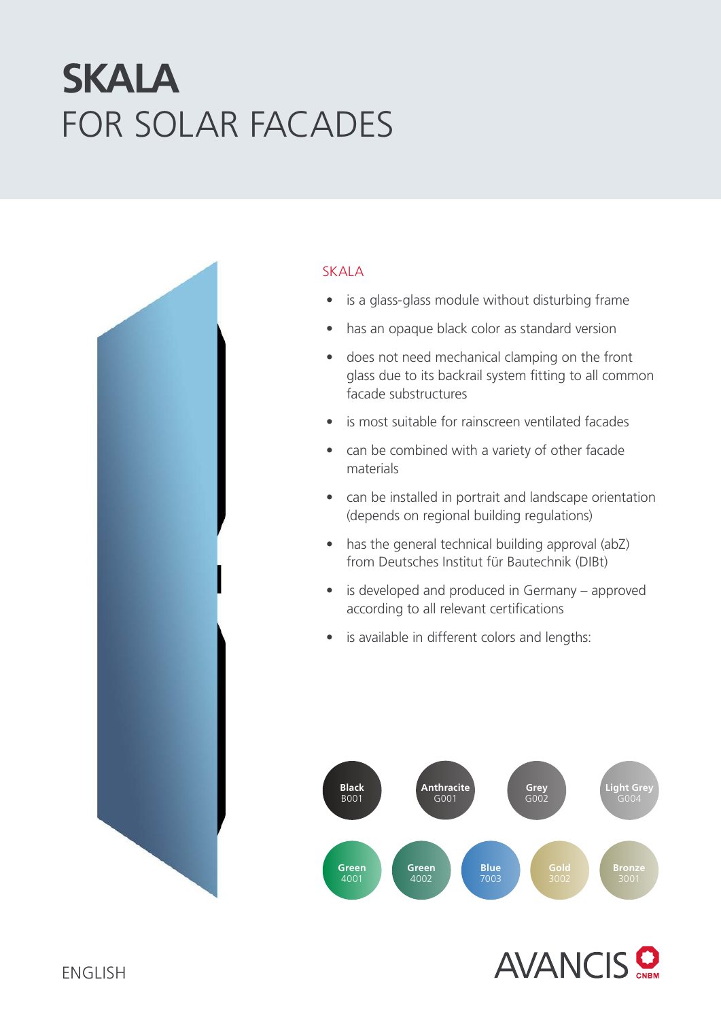# FOR SOLAR FACADES **SKALA**



### SKALA

- is a glass-glass module without disturbing frame
- has an opaque black color as standard version
- does not need mechanical clamping on the front glass due to its backrail system fitting to all common facade substructures
- is most suitable for rainscreen ventilated facades
- can be combined with a variety of other facade materials
- can be installed in portrait and landscape orientation (depends on regional building regulations)
- has the general technical building approval (abZ) from Deutsches Institut für Bautechnik (DIBt)
- is developed and produced in Germany approved according to all relevant certifications
- is available in different colors and lengths: